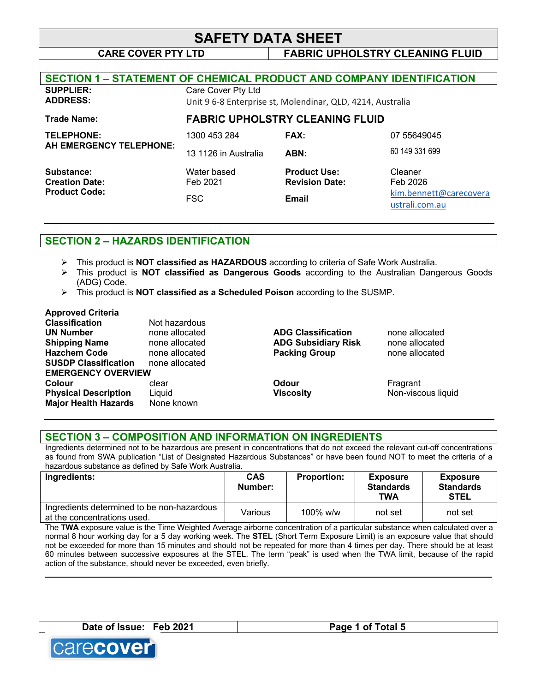# **SAFETY DATA SHEET**

# **CARE COVER PTY LTD FABRIC UPHOLSTRY CLEANING FLUID**

| <b>SECTION 1 - STATEMENT OF CHEMICAL PRODUCT AND COMPANY IDENTIFICATION</b> |                                                                                  |                                              |                                          |
|-----------------------------------------------------------------------------|----------------------------------------------------------------------------------|----------------------------------------------|------------------------------------------|
| <b>SUPPLIER:</b><br><b>ADDRESS:</b>                                         | Care Cover Pty Ltd<br>Unit 9 6-8 Enterprise st, Molendinar, QLD, 4214, Australia |                                              |                                          |
| <b>Trade Name:</b>                                                          |                                                                                  | <b>FABRIC UPHOLSTRY CLEANING FLUID</b>       |                                          |
| <b>TELEPHONE:</b>                                                           | 1300 453 284                                                                     | <b>FAX:</b>                                  | 07 55649045                              |
| AH EMERGENCY TELEPHONE:                                                     | 13 1126 in Australia                                                             | ABN:                                         | 60 149 331 699                           |
| Substance:<br><b>Creation Date:</b><br><b>Product Code:</b>                 | Water based<br>Feb 2021                                                          | <b>Product Use:</b><br><b>Revision Date:</b> | Cleaner<br>Feb 2026                      |
|                                                                             | <b>FSC</b>                                                                       | <b>Email</b>                                 | kim.bennett@carecovera<br>ustrali.com.au |

# **SECTION 2 – HAZARDS IDENTIFICATION**

- Ø This product is **NOT classified as HAZARDOUS** according to criteria of Safe Work Australia.
- Ø This product is **NOT classified as Dangerous Goods** according to the Australian Dangerous Goods (ADG) Code.
- Ø This product is **NOT classified as a Scheduled Poison** according to the SUSMP.

### **Approved Criteria**

| Not hazardous             |                            |                    |
|---------------------------|----------------------------|--------------------|
| none allocated            | <b>ADG Classification</b>  | none allocated     |
| none allocated            | <b>ADG Subsidiary Risk</b> | none allocated     |
| none allocated            | <b>Packing Group</b>       | none allocated     |
| none allocated            |                            |                    |
| <b>EMERGENCY OVERVIEW</b> |                            |                    |
| clear                     | Odour                      | Fragrant           |
| Liquid                    | <b>Viscosity</b>           | Non-viscous liquid |
| None known                |                            |                    |
|                           |                            |                    |

### **SECTION 3 – COMPOSITION AND INFORMATION ON INGREDIENTS**

Ingredients determined not to be hazardous are present in concentrations that do not exceed the relevant cut-off concentrations as found from SWA publication "List of Designated Hazardous Substances" or have been found NOT to meet the criteria of a hazardous substance as defined by Safe Work Australia.

| Ingredients:                                                              | <b>CAS</b><br>Number: | <b>Proportion:</b> | <b>Exposure</b><br><b>Standards</b><br>TWA | <b>Exposure</b><br><b>Standards</b><br><b>STEL</b> |
|---------------------------------------------------------------------------|-----------------------|--------------------|--------------------------------------------|----------------------------------------------------|
| Ingredients determined to be non-hazardous<br>at the concentrations used. | Various               | $100\%$ w/w        | not set                                    | not set                                            |

The **TWA** exposure value is the Time Weighted Average airborne concentration of a particular substance when calculated over a normal 8 hour working day for a 5 day working week. The **STEL** (Short Term Exposure Limit) is an exposure value that should not be exceeded for more than 15 minutes and should not be repeated for more than 4 times per day. There should be at least 60 minutes between successive exposures at the STEL. The term "peak" is used when the TWA limit, because of the rapid action of the substance, should never be exceeded, even briefly.

**\_\_\_\_\_\_\_\_\_\_\_\_\_\_\_\_\_\_\_\_\_\_\_\_\_\_\_\_\_\_\_\_\_\_\_\_\_\_\_\_\_\_\_\_\_\_\_\_\_\_\_\_\_\_\_\_\_\_\_\_\_\_\_\_\_\_\_\_\_\_\_\_\_\_\_\_\_\_\_\_\_\_\_\_\_\_\_\_\_\_\_\_**

**Date of Issue: Feb 2021 Page 1 of Total 5**

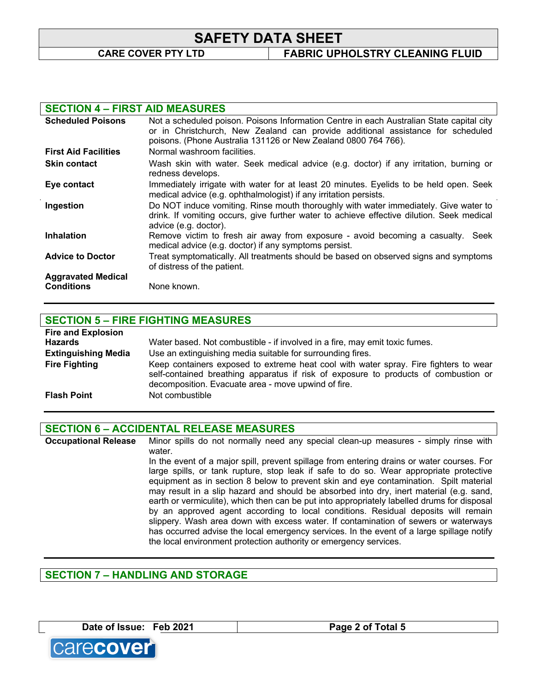# **SAFETY DATA SHEET**

**CARE COVER PTY LTD FABRIC UPHOLSTRY CLEANING FLUID**

### **SECTION 4 – FIRST AID MEASURES**

| <b>Scheduled Poisons</b>                       | Not a scheduled poison. Poisons Information Centre in each Australian State capital city<br>or in Christchurch, New Zealand can provide additional assistance for scheduled<br>poisons. (Phone Australia 131126 or New Zealand 0800 764 766). |
|------------------------------------------------|-----------------------------------------------------------------------------------------------------------------------------------------------------------------------------------------------------------------------------------------------|
| <b>First Aid Facilities</b>                    | Normal washroom facilities.                                                                                                                                                                                                                   |
| <b>Skin contact</b>                            | Wash skin with water. Seek medical advice (e.g. doctor) if any irritation, burning or<br>redness develops.                                                                                                                                    |
| Eye contact                                    | Immediately irrigate with water for at least 20 minutes. Eyelids to be held open. Seek<br>medical advice (e.g. ophthalmologist) if any irritation persists.                                                                                   |
| Ingestion                                      | Do NOT induce vomiting. Rinse mouth thoroughly with water immediately. Give water to<br>drink. If vomiting occurs, give further water to achieve effective dilution. Seek medical<br>advice (e.g. doctor).                                    |
| <b>Inhalation</b>                              | Remove victim to fresh air away from exposure - avoid becoming a casualty. Seek<br>medical advice (e.g. doctor) if any symptoms persist.                                                                                                      |
| <b>Advice to Doctor</b>                        | Treat symptomatically. All treatments should be based on observed signs and symptoms<br>of distress of the patient.                                                                                                                           |
| <b>Aggravated Medical</b><br><b>Conditions</b> | None known.                                                                                                                                                                                                                                   |

# **SECTION 5 – FIRE FIGHTING MEASURES**

| <b>Fire and Explosion</b>  |                                                                                                                                                                                                                                    |
|----------------------------|------------------------------------------------------------------------------------------------------------------------------------------------------------------------------------------------------------------------------------|
| <b>Hazards</b>             | Water based. Not combustible - if involved in a fire, may emit toxic fumes.                                                                                                                                                        |
| <b>Extinguishing Media</b> | Use an extinguishing media suitable for surrounding fires.                                                                                                                                                                         |
| <b>Fire Fighting</b>       | Keep containers exposed to extreme heat cool with water spray. Fire fighters to wear<br>self-contained breathing apparatus if risk of exposure to products of combustion or<br>decomposition. Evacuate area - move upwind of fire. |
| <b>Flash Point</b>         | Not combustible                                                                                                                                                                                                                    |

# **SECTION 6 – ACCIDENTAL RELEASE MEASURES**

**Occupational Release** Minor spills do not normally need any special clean-up measures - simply rinse with water. In the event of a major spill, prevent spillage from entering drains or water courses. For large spills, or tank rupture, stop leak if safe to do so. Wear appropriate protective equipment as in section 8 below to prevent skin and eye contamination. Spilt material may result in a slip hazard and should be absorbed into dry, inert material (e.g. sand, earth or vermiculite), which then can be put into appropriately labelled drums for disposal by an approved agent according to local conditions. Residual deposits will remain slippery. Wash area down with excess water. If contamination of sewers or waterways has occurred advise the local emergency services. In the event of a large spillage notify the local environment protection authority or emergency services.

# **SECTION 7 – HANDLING AND STORAGE**

**Date of Issue: Feb 2021 Page 2 of Total 5**



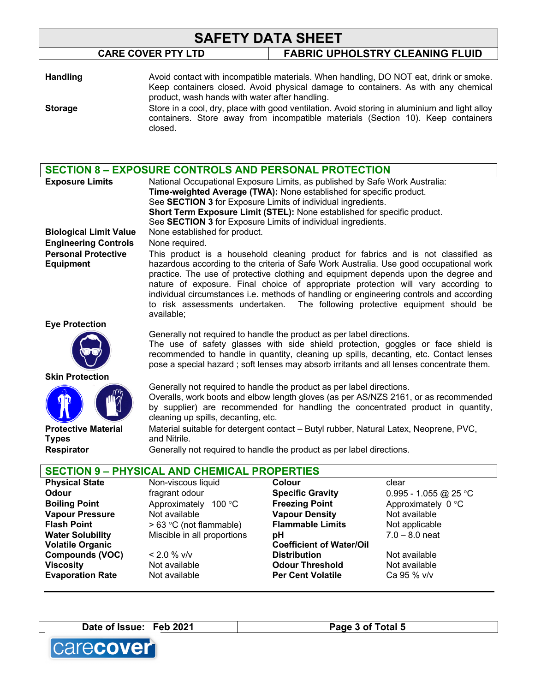# **SAFETY DATA SHEET CARE COVER PTY LTD FABRIC UPHOLSTRY CLEANING FLUID**

| <b>Handling</b> | Avoid contact with incompatible materials. When handling, DO NOT eat, drink or smoke.<br>Keep containers closed. Avoid physical damage to containers. As with any chemical<br>product, wash hands with water after handling. |
|-----------------|------------------------------------------------------------------------------------------------------------------------------------------------------------------------------------------------------------------------------|
| <b>Storage</b>  | Store in a cool, dry, place with good ventilation. Avoid storing in aluminium and light alloy<br>containers. Store away from incompatible materials (Section 10). Keep containers<br>closed.                                 |

| <b>SECTION 8 - EXPOSURE CONTROLS AND PERSONAL PROTECTION</b> |                                                                                                                                                                              |                                 |                                              |  |
|--------------------------------------------------------------|------------------------------------------------------------------------------------------------------------------------------------------------------------------------------|---------------------------------|----------------------------------------------|--|
| <b>Exposure Limits</b>                                       | National Occupational Exposure Limits, as published by Safe Work Australia:                                                                                                  |                                 |                                              |  |
|                                                              | Time-weighted Average (TWA): None established for specific product.                                                                                                          |                                 |                                              |  |
|                                                              | See SECTION 3 for Exposure Limits of individual ingredients.                                                                                                                 |                                 |                                              |  |
|                                                              | Short Term Exposure Limit (STEL): None established for specific product.                                                                                                     |                                 |                                              |  |
|                                                              | See SECTION 3 for Exposure Limits of individual ingredients.                                                                                                                 |                                 |                                              |  |
| <b>Biological Limit Value</b>                                | None established for product.                                                                                                                                                |                                 |                                              |  |
| <b>Engineering Controls</b>                                  | None required.                                                                                                                                                               |                                 |                                              |  |
| <b>Personal Protective</b>                                   | This product is a household cleaning product for fabrics and is not classified as                                                                                            |                                 |                                              |  |
| <b>Equipment</b>                                             | hazardous according to the criteria of Safe Work Australia. Use good occupational work                                                                                       |                                 |                                              |  |
|                                                              | practice. The use of protective clothing and equipment depends upon the degree and                                                                                           |                                 |                                              |  |
|                                                              | nature of exposure. Final choice of appropriate protection will vary according to<br>individual circumstances i.e. methods of handling or engineering controls and according |                                 |                                              |  |
|                                                              | to risk assessments undertaken.                                                                                                                                              |                                 | The following protective equipment should be |  |
|                                                              | available;                                                                                                                                                                   |                                 |                                              |  |
| <b>Eye Protection</b>                                        |                                                                                                                                                                              |                                 |                                              |  |
|                                                              | Generally not required to handle the product as per label directions.                                                                                                        |                                 |                                              |  |
|                                                              | The use of safety glasses with side shield protection, goggles or face shield is                                                                                             |                                 |                                              |  |
|                                                              | recommended to handle in quantity, cleaning up spills, decanting, etc. Contact lenses                                                                                        |                                 |                                              |  |
|                                                              | pose a special hazard; soft lenses may absorb irritants and all lenses concentrate them.                                                                                     |                                 |                                              |  |
| <b>Skin Protection</b>                                       |                                                                                                                                                                              |                                 |                                              |  |
|                                                              | Generally not required to handle the product as per label directions.                                                                                                        |                                 |                                              |  |
|                                                              | Overalls, work boots and elbow length gloves (as per AS/NZS 2161, or as recommended                                                                                          |                                 |                                              |  |
|                                                              | by supplier) are recommended for handling the concentrated product in quantity,<br>cleaning up spills, decanting, etc.                                                       |                                 |                                              |  |
| <b>Protective Material</b>                                   | Material suitable for detergent contact - Butyl rubber, Natural Latex, Neoprene, PVC,                                                                                        |                                 |                                              |  |
| <b>Types</b>                                                 | and Nitrile.                                                                                                                                                                 |                                 |                                              |  |
| <b>Respirator</b>                                            | Generally not required to handle the product as per label directions.                                                                                                        |                                 |                                              |  |
|                                                              |                                                                                                                                                                              |                                 |                                              |  |
|                                                              | <b>SECTION 9 - PHYSICAL AND CHEMICAL PROPERTIES</b>                                                                                                                          |                                 |                                              |  |
| <b>Physical State</b>                                        | Non-viscous liquid                                                                                                                                                           | Colour                          | clear                                        |  |
| Odour                                                        | fragrant odour                                                                                                                                                               | <b>Specific Gravity</b>         | 0.995 - 1.055 @ 25 °C                        |  |
| <b>Boiling Point</b>                                         | Approximately 100 °C                                                                                                                                                         | <b>Freezing Point</b>           | Approximately 0 °C                           |  |
| <b>Vapour Pressure</b>                                       | Not available                                                                                                                                                                | <b>Vapour Density</b>           | Not available                                |  |
| <b>Flash Point</b>                                           | > 63 °C (not flammable)                                                                                                                                                      | <b>Flammable Limits</b>         | Not applicable                               |  |
| <b>Water Solubility</b>                                      | Miscible in all proportions                                                                                                                                                  | pH                              | $7.0 - 8.0$ neat                             |  |
| <b>Volatile Organic</b>                                      |                                                                                                                                                                              | <b>Coefficient of Water/Oil</b> |                                              |  |

**Compounds (VOC)**  $\leq 2.0 \% \text{ v/v}$ <br>Viscosity Not available

**Evaporation Rate** Mot available **Per Cent Volatile** Ca 95 % v/v

**Distribution** Not available **Odour Threshold** Not available



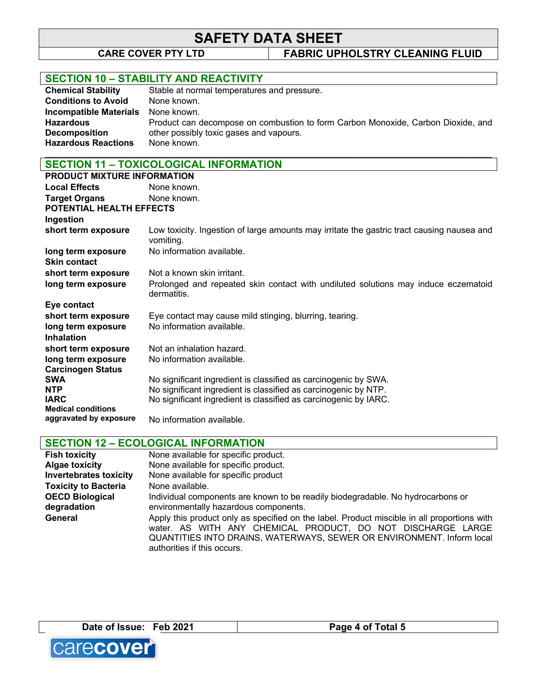# **SAFETY DATA SHEET**<br>CARE COVER PTY LTD FABRIC UPH

**FABRIC UPHOLSTRY CLEANING FLUID** 

# **SECTION 10 – STABILITY AND REACTIVITY**

| <b>Chemical Stability</b>     | Stable at normal temperatures and pressure.                                      |
|-------------------------------|----------------------------------------------------------------------------------|
| <b>Conditions to Avoid</b>    | None known.                                                                      |
| <b>Incompatible Materials</b> | None known.                                                                      |
| <b>Hazardous</b>              | Product can decompose on combustion to form Carbon Monoxide, Carbon Dioxide, and |
| <b>Decomposition</b>          | other possibly toxic gases and vapours.                                          |
| <b>Hazardous Reactions</b>    | None known.                                                                      |
|                               |                                                                                  |

# **SECTION 11 – TOXICOLOGICAL INFORMATION**

| PRODUCT MIXTURE INFORMATION                      |                                                                                                         |
|--------------------------------------------------|---------------------------------------------------------------------------------------------------------|
| <b>Local Effects</b>                             | None known.                                                                                             |
| <b>Target Organs</b><br>POTENTIAL HEALTH EFFECTS | None known.                                                                                             |
| Ingestion                                        |                                                                                                         |
| short term exposure                              | Low toxicity. Ingestion of large amounts may irritate the gastric tract causing nausea and<br>vomiting. |
| long term exposure<br><b>Skin contact</b>        | No information available.                                                                               |
| short term exposure                              | Not a known skin irritant.                                                                              |
| long term exposure                               | Prolonged and repeated skin contact with undiluted solutions may induce eczematoid<br>dermatitis.       |
| Eye contact                                      |                                                                                                         |
| short term exposure                              | Eye contact may cause mild stinging, blurring, tearing.                                                 |
| long term exposure                               | No information available.                                                                               |
| <b>Inhalation</b>                                |                                                                                                         |
| short term exposure                              | Not an inhalation hazard.                                                                               |
| long term exposure                               | No information available.                                                                               |
| <b>Carcinogen Status</b>                         |                                                                                                         |
| <b>SWA</b>                                       | No significant ingredient is classified as carcinogenic by SWA.                                         |
| <b>NTP</b>                                       | No significant ingredient is classified as carcinogenic by NTP.                                         |
| <b>IARC</b>                                      | No significant ingredient is classified as carcinogenic by IARC.                                        |
| <b>Medical conditions</b>                        |                                                                                                         |
| aggravated by exposure                           | No information available.                                                                               |

# **SECTION 12 – ECOLOGICAL INFORMATION**

| <b>Fish toxicity</b>          | None available for specific product.                                                                                                                                                                                                                               |
|-------------------------------|--------------------------------------------------------------------------------------------------------------------------------------------------------------------------------------------------------------------------------------------------------------------|
| <b>Algae toxicity</b>         | None available for specific product.                                                                                                                                                                                                                               |
| <b>Invertebrates toxicity</b> | None available for specific product                                                                                                                                                                                                                                |
| <b>Toxicity to Bacteria</b>   | None available.                                                                                                                                                                                                                                                    |
| <b>OECD Biological</b>        | Individual components are known to be readily biodegradable. No hydrocarbons or                                                                                                                                                                                    |
| degradation                   | environmentally hazardous components.                                                                                                                                                                                                                              |
| General                       | Apply this product only as specified on the label. Product miscible in all proportions with<br>water. AS WITH ANY CHEMICAL PRODUCT, DO NOT DISCHARGE LARGE<br>QUANTITIES INTO DRAINS, WATERWAYS, SEWER OR ENVIRONMENT. Inform local<br>authorities if this occurs. |